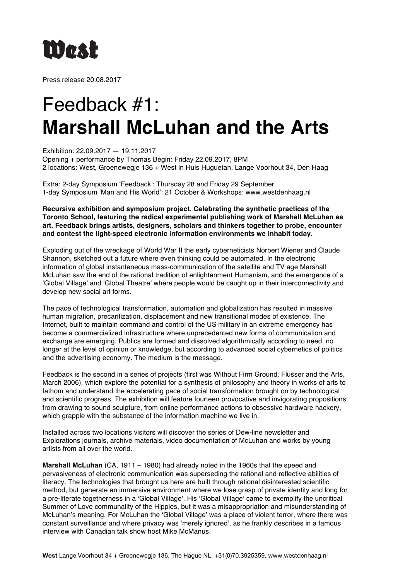

Press release 20.08.2017

## Feedback #1: **Marshall McLuhan and the Arts**

Exhibition: 22.09.2017 — 19.11.2017

Opening + performance by Thomas Bégin: Friday 22.09.2017, 8PM 2 locations: West, Groenewegje 136 + West in Huis Huguetan, Lange Voorhout 34, Den Haag

Extra: 2-day Symposium 'Feedback': Thursday 28 and Friday 29 September 1-day Symposium 'Man and His World': 21 October & Workshops: www.westdenhaag.nl

**Recursive exhibition and symposium project. Celebrating the synthetic practices of the Toronto School, featuring the radical experimental publishing work of Marshall McLuhan as art. Feedback brings artists, designers, scholars and thinkers together to probe, encounter and contest the light-speed electronic information environments we inhabit today.**

Exploding out of the wreckage of World War II the early cyberneticists Norbert Wiener and Claude Shannon, sketched out a future where even thinking could be automated. In the electronic information of global instantaneous mass-communication of the satellite and TV age Marshall McLuhan saw the end of the rational tradition of enlightenment Humanism, and the emergence of a 'Global Village' and 'Global Theatre' where people would be caught up in their interconnectivity and develop new social art forms.

The pace of technological transformation, automation and globalization has resulted in massive human migration, precaritization, displacement and new transitional modes of existence. The Internet, built to maintain command and control of the US military in an extreme emergency has become a commercialized infrastructure where unprecedented new forms of communication and exchange are emerging. Publics are formed and dissolved algorithmically according to need, no longer at the level of opinion or knowledge, but according to advanced social cybernetics of politics and the advertising economy. The medium is the message.

Feedback is the second in a series of projects (first was Without Firm Ground, Flusser and the Arts, March 2006), which explore the potential for a synthesis of philosophy and theory in works of arts to fathom and understand the accelerating pace of social transformation brought on by technological and scientific progress. The exhibition will feature fourteen provocative and invigorating propositions from drawing to sound sculpture, from online performance actions to obsessive hardware hackery, which grapple with the substance of the information machine we live in.

Installed across two locations visitors will discover the series of Dew-line newsletter and Explorations journals, archive materials, video documentation of McLuhan and works by young artists from all over the world.

**Marshall McLuhan** (CA, 1911 – 1980) had already noted in the 1960s that the speed and pervasiveness of electronic communication was superseding the rational and reflective abilities of literacy. The technologies that brought us here are built through rational disinterested scientific method, but generate an immersive environment where we lose grasp of private identity and long for a pre-literate togetherness in a 'Global Village'. His 'Global Village' came to exemplify the uncritical Summer of Love communality of the Hippies, but it was a misappropriation and misunderstanding of McLuhan's meaning. For McLuhan the 'Global Village' was a place of violent terror, where there was constant surveillance and where privacy was 'merely ignored', as he frankly describes in a famous interview with Canadian talk show host Mike McManus.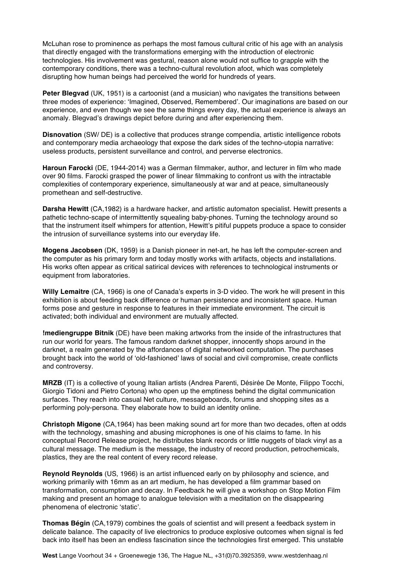McLuhan rose to prominence as perhaps the most famous cultural critic of his age with an analysis that directly engaged with the transformations emerging with the introduction of electronic technologies. His involvement was gestural, reason alone would not suffice to grapple with the contemporary conditions, there was a techno-cultural revolution afoot, which was completely disrupting how human beings had perceived the world for hundreds of years.

**Peter Blegvad** (UK, 1951) is a cartoonist (and a musician) who navigates the transitions between three modes of experience: 'Imagined, Observed, Remembered'. Our imaginations are based on our experience, and even though we see the same things every day, the actual experience is always an anomaly. Blegvad's drawings depict before during and after experiencing them.

**Disnovation** (SW/ DE) is a collective that produces strange compendia, artistic intelligence robots and contemporary media archaeology that expose the dark sides of the techno-utopia narrative: useless products, persistent surveillance and control, and perverse electronics.

**Haroun Farocki** (DE, 1944-2014) was a German filmmaker, author, and lecturer in film who made over 90 films. Farocki grasped the power of linear filmmaking to confront us with the intractable complexities of contemporary experience, simultaneously at war and at peace, simultaneously promethean and self-destructive.

**Darsha Hewitt** (CA,1982) is a hardware hacker, and artistic automaton specialist. Hewitt presents a pathetic techno-scape of intermittently squealing baby-phones. Turning the technology around so that the instrument itself whimpers for attention, Hewitt's pitiful puppets produce a space to consider the intrusion of surveillance systems into our everyday life.

**Mogens Jacobsen** (DK, 1959) is a Danish pioneer in net-art, he has left the computer-screen and the computer as his primary form and today mostly works with artifacts, objects and installations. His works often appear as critical satirical devices with references to technological instruments or equipment from laboratories.

**Willy Lemaitre** (CA, 1966) is one of Canada's experts in 3-D video. The work he will present in this exhibition is about feeding back difference or human persistence and inconsistent space. Human forms pose and gesture in response to features in their immediate environment. The circuit is activated; both individual and environment are mutually affected.

**!mediengruppe Bitnik** (DE) have been making artworks from the inside of the infrastructures that run our world for years. The famous random darknet shopper, innocently shops around in the darknet, a realm generated by the affordances of digital networked computation. The purchases brought back into the world of 'old-fashioned' laws of social and civil compromise, create conflicts and controversy.

**MRZB** (IT) is a collective of young Italian artists (Andrea Parenti, Désirée De Monte, Filippo Tocchi, Giorgio Tidoni and Pietro Cortona) who open up the emptiness behind the digital communication surfaces. They reach into casual Net culture, messageboards, forums and shopping sites as a performing poly-persona. They elaborate how to build an identity online.

**Christoph Migone** (CA,1964) has been making sound art for more than two decades, often at odds with the technology, smashing and abusing microphones is one of his claims to fame. In his conceptual Record Release project, he distributes blank records or little nuggets of black vinyl as a cultural message. The medium is the message, the industry of record production, petrochemicals, plastics, they are the real content of every record release.

**Reynold Reynolds** (US, 1966) is an artist influenced early on by philosophy and science, and working primarily with 16mm as an art medium, he has developed a film grammar based on transformation, consumption and decay. In Feedback he will give a workshop on Stop Motion Film making and present an homage to analogue television with a meditation on the disappearing phenomena of electronic 'static'.

**Thomas Bégin** (CA,1979) combines the goals of scientist and will present a feedback system in delicate balance. The capacity of live electronics to produce explosive outcomes when signal is fed back into itself has been an endless fascination since the technologies first emerged. This unstable